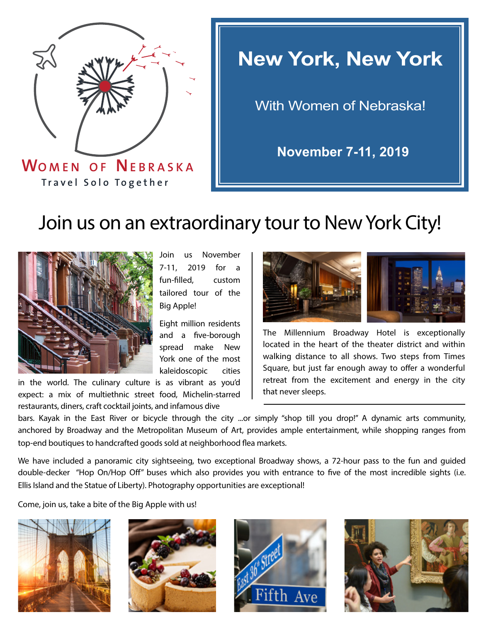

**T r a v el Solo T o g ether**

# **New York, New York**

With Women of Nebraska!

**November 7-11, 2019**

## Join us on an extraordinary tour to New York City!



Join us November 7-11, 2019 for a fun-filled, custom tailored tour of the Big Apple!

Eight million residents and a five-borough spread make New York one of the most kaleidoscopic cities

in the world. The culinary culture is as vibrant as you'd expect: a mix of multiethnic street food, Michelin-starred restaurants, diners, craft cocktail joints, and infamous dive



The Millennium Broadway Hotel is exceptionally located in the heart of the theater district and within walking distance to all shows. Two steps from Times Square, but just far enough away to offer a wonderful retreat from the excitement and energy in the city that never sleeps.

bars. Kayak in the East River or bicycle through the city ...or simply "shop till you drop!" A dynamic arts community, anchored by Broadway and the Metropolitan Museum of Art, provides ample entertainment, while shopping ranges from top-end boutiques to handcrafted goods sold at neighborhood flea markets.

We have included a panoramic city sightseeing, two exceptional Broadway shows, a 72-hour pass to the fun and guided double-decker "Hop On/Hop Off" buses which also provides you with entrance to five of the most incredible sights (i.e. Ellis Island and the Statue of Liberty). Photography opportunities are exceptional!

Come, join us, take a bite of the Big Apple with us!